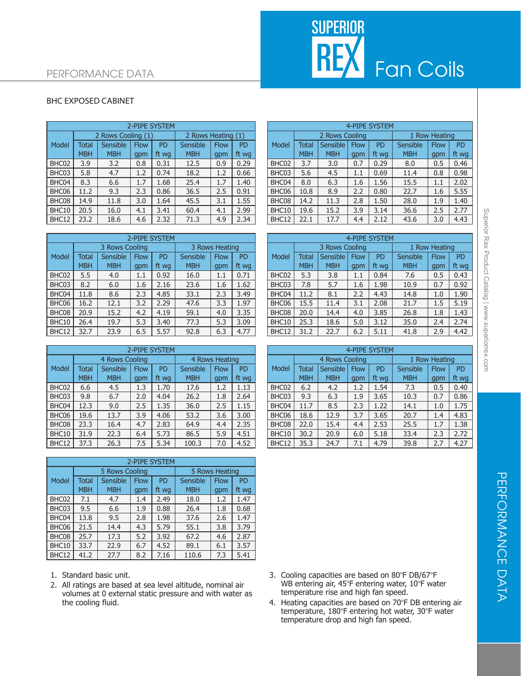## SUPERIOR<br>REX Fan Coils

## PERFORMANCE DATA

## BHC EXPOSED CABINET

| 2-PIPE SYSTEM |            |             |           |                    |                    |           |  | 4-PIPE SYSTEM |              |            |             |                            |            |               |           |  |
|---------------|------------|-------------|-----------|--------------------|--------------------|-----------|--|---------------|--------------|------------|-------------|----------------------------|------------|---------------|-----------|--|
|               |            |             |           |                    | 2 Rows Heating (1) |           |  |               |              |            |             |                            |            | 1 Row Heating |           |  |
| <b>Total</b>  | Sensible   | <b>Flow</b> | <b>PD</b> | Sensible           | <b>Flow</b>        | <b>PD</b> |  | Model         | <b>Total</b> |            | <b>Flow</b> | PD                         | Sensible   | <b>Flow</b>   | <b>PD</b> |  |
| <b>MBH</b>    | <b>MBH</b> | qpm         | ft wa     | <b>MBH</b>         | gpm                | ft wg     |  |               | <b>MBH</b>   | <b>MBH</b> | gpm         | ft wa                      | <b>MBH</b> | gpm           | ft wo     |  |
| 3.9           | 3.2        | 0.8         | 0.31      | 12.5               | 0.9                | 0.29      |  | BHC02         | 3.7          | 3.0        | 0.7         | 0.29                       | 8.0        | 0.5           | 0.46      |  |
| 5.8           | 4.7        | 1.2         | 0.74      | 18.2               | 1.2                | 0.66      |  | BHC03         | 5.6          | 4.5        | $1.1\,$     | 0.69                       | 11.4       | 0.8           | 0.98      |  |
| 8.3           | 6.6        | 1.7         | 1.68      | 25.4               | 1.7                | 1.40      |  | BHC04         | 8.0          | 6.3        | 1.6         | 1.56                       | 15.5       | 1.1           | 2.02      |  |
| 11.2          | 9.3        | 2.3         | 0.86      | 36.5               | 2.5                | 0.91      |  | BHC06         | 10.8         | 8.9        | 2.2         | 0.80                       | 22.7       | 1.6           | 5.55      |  |
| 14.9          | 11.8       | 3.0         | 1.64      | 45.5               | 3.1                | 1.55      |  | BHC08         | 14.2         | 11.3       | 2.8         | 1.50                       | 28.0       | 1.9           | 1.40      |  |
| 20.5          | 16.0       | 4.1         | 3.41      | 60.4               | 4.1                | 2.99      |  | BHC10         | 19.6         | 15.2       | 3.9         | 3.14                       | 36.6       | 2.5           | 2.77      |  |
| 23.2          | 18.6       | 4.6         | 2.32      | 71.3               | 4.9                | 2.34      |  | BHC12         | 22.1         | 17.7       | 4.4         | 2.12                       | 43.6       | 3.0           | 4.43      |  |
|               |            |             |           | 2 Rows Cooling (1) |                    |           |  |               |              |            |             | 2 Rows Cooling<br>Sensible |            |               |           |  |

|       |                                  |            |             | 2-PIPE SYSTEM |            |             |           | 4-PIPE SYSTEM  |              |            |               |           |            |             |           |
|-------|----------------------------------|------------|-------------|---------------|------------|-------------|-----------|----------------|--------------|------------|---------------|-----------|------------|-------------|-----------|
|       | 3 Rows Heating<br>3 Rows Cooling |            |             |               |            |             |           | 3 Rows Cooling |              |            | 1 Row Heating |           |            |             |           |
| Model | <b>Total</b>                     | Sensible   | <b>Flow</b> | <b>PD</b>     | Sensible   | <b>Flow</b> | <b>PD</b> | Model          | <b>Total</b> | Sensible   | <b>Flow</b>   | <b>PD</b> | Sensible   | <b>Flow</b> | <b>PD</b> |
|       | <b>MBH</b>                       | <b>MBH</b> | gpm         | ft wa         | <b>MBH</b> | gpm         | ft wa     |                | <b>MBH</b>   | <b>MBH</b> | gpm           | ft wa     | <b>MBH</b> | gpm         | ft wo     |
| BHC02 | 5.5                              | 4.0        | 1.1         | 0.92          | 16.0       | 1.1         | 0.71      | BHC02          | 5.3          | 3.8        | $1.1\,$       | 0.84      | 7.6        | 0.5         | 0.43      |
| BHC03 | 8.2                              | 6.0        | 1.6         | 2.16          | 23.6       | 1.6         | 1.62      | BHC03          | 7.8          | 5.7        | 1.6           | 1.98      | 10.9       | 0.7         | 0.92      |
| BHC04 | 11.8                             | 8.6        | 2.3         | 4.85          | 33.1       | 2.3         | 3.49      | BHC04          | 11.2         | 8.1        | 2.2           | 4.43      | 14.8       | 1.0         | 1.90      |
| BHC06 | 16.2                             | 12.1       | 3.2         | 2.29          | 47.6       | 3.3         | 1.97      | BHC06          | 15.5         | 11.4       | 3.1           | 2.08      | 21.7       | 1.5         | 5.19      |
| BHC08 | 20.9                             | 15.2       | 4.2         | 4.19          | 59.1       | 4.0         | 3.35      | BHC08          | 20.0         | 14.4       | 4.0           | 3.85      | 26.8       | 1.8         | 1.43      |
| BHC10 | 26.4                             | 19.7       | 5.3         | 3.40          | 77.3       | 5.3         | 3.09      | BHC10          | 25.3         | 18.6       | 5.0           | 3.12      | 35.0       | 2.4         | 2.74      |
| BHC12 | 32.7                             | 23.9       | 6.5         | 5.57          | 92.8       | 6.3         | 4.77      | BHC12          | 31.2         | 22.7       | 6.2           | 5.11      | 41.8       | 2.9         | 4.42      |

|       | 2-PIPE SYSTEM |                |             |       |                |             |           |  | 4-PIPE SYSTEM |                |            |             |       |               |             |           |
|-------|---------------|----------------|-------------|-------|----------------|-------------|-----------|--|---------------|----------------|------------|-------------|-------|---------------|-------------|-----------|
|       |               | 4 Rows Cooling |             |       | 4 Rows Heating |             |           |  |               | 4 Rows Cooling |            |             |       | 1 Row Heating |             |           |
| Model | Total         | Sensible       | <b>Flow</b> | PD    | Sensible       | <b>Flow</b> | <b>PD</b> |  | Model         | Total          | Sensible I | <b>Flow</b> | PD    | Sensible      | <b>Flow</b> | <b>PD</b> |
|       | <b>MBH</b>    | <b>MBH</b>     | gpm         | ft wa | <b>MBH</b>     | qpm         | ft wg     |  |               | <b>MBH</b>     | <b>MBH</b> | gpm         | ft wa | <b>MBH</b>    | gpm         | ft wo     |
| BHC02 | 6.6           | 4.5            | 1.3         | 1.70  | 17.6           | 1.2         | 1.13      |  | BHC02         | 6.2            | 4.2        | 1.2         | 1.54  | 7.3           | 0.5         | 0.40      |
| BHC03 | 9.8           | 6.7            | 2.0         | 4.04  | 26.2           | 1.8         | 2.64      |  | BHC03         | 9.3            | 6.3        | 1.9         | 3.65  | 10.3          | 0.7         | 0.86      |
| BHC04 | 12.3          | 9.0            | 2.5         | 1.35  | 36.0           | 2.5         | 1.15      |  | BHC04         | 11.7           | 8.5        | 2.3         | 1.22  | 14.1          | 1.0         | 1.75      |
| BHC06 | 19.6          | 13.7           | 3.9         | 4.06  | 53.2           | 3.6         | 3.00      |  | BHC06         | 18.6           | 12.9       | 3.7         | 3.65  | 20.7          | 1.4         | 4.83      |
| BHC08 | 23.3          | 16.4           | 4.7         | 2.83  | 64.9           | 4.4         | 2.35      |  | BHC08         | 22.0           | 15.4       | 4.4         | 2.53  | 25.5          | 1.7         | 1.38      |
| BHC10 | 31.9          | 22.3           | 6.4         | 5.73  | 86.5           | 5.9         | 4.51      |  | BHC10         | 30.2           | 20.9       | 6.0         | 5.18  | 33.4          | 2.3         | 2.72      |
| BHC12 | 37.3          | 26.3           | 7.5         | 5.34  | 100.3          | 7.0         | 4.52      |  | BHC12         | 35.3           | 24.7       | 7.1         | 4.79  | 39.8          | 2.7         | 4.27      |

|       | 2-PIPE SYSTEM |                |             |                |            |             |           |  |  |  |  |  |
|-------|---------------|----------------|-------------|----------------|------------|-------------|-----------|--|--|--|--|--|
|       |               | 5 Rows Cooling |             | 5 Rows Heating |            |             |           |  |  |  |  |  |
| Model | <b>Total</b>  | Sensible       | <b>Flow</b> | <b>PD</b>      | Sensible   | <b>Flow</b> | <b>PD</b> |  |  |  |  |  |
|       | <b>MBH</b>    | <b>MBH</b>     | gpm         | ft wg          | <b>MBH</b> | gpm         | ft wg     |  |  |  |  |  |
| BHC02 | 7.1           | 4.7            | 1.4         | 2.49           | 18.0       | 1.2         | 1.47      |  |  |  |  |  |
| BHC03 | 9.5           | 6.6            | 1.9         | 0.88           | 26.4       | 1.8         | 0.68      |  |  |  |  |  |
| BHC04 | 13.8          | 9.5            | 2.8         | 1.98           | 37.6       | 2.6         | 1.47      |  |  |  |  |  |
| BHC06 | 21.5          | 14.4           | 4.3         | 5.79           | 55.1       | 3.8         | 3.79      |  |  |  |  |  |
| BHC08 | 25.7          | 17.3           | 5.2         | 3.92           | 67.2       | 4.6         | 2.87      |  |  |  |  |  |
| BHC10 | 33.7          | 22.9           | 6.7         | 4.52           | 89.1       | 6.1         | 3.57      |  |  |  |  |  |
| BHC12 | 41.2          | 27.7           | 8.2         | 7.16           | 110.6      | 7.3         | 5.41      |  |  |  |  |  |

- 1. Standard basic unit.
- 2. All ratings are based at sea level altitude, nominal air volumes at 0 external static pressure and with water as the cooling fluid.

|              |                    |             | 2-PIPE SYSTEM |                    |             |                | 4-PIPE SYSTEM |              |                |             |           |            |               |           |  |
|--------------|--------------------|-------------|---------------|--------------------|-------------|----------------|---------------|--------------|----------------|-------------|-----------|------------|---------------|-----------|--|
|              | 2 Rows Cooling (1) |             |               | 2 Rows Heating (1) |             |                |               |              | 2 Rows Cooling |             |           |            | 1 Row Heating |           |  |
| <b>Total</b> | Sensible           | <b>Flow</b> | <b>PD</b>     | Sensible           | <b>Flow</b> | P <sub>D</sub> | Model         | <b>Total</b> | Sensible       | <b>Flow</b> | <b>PD</b> | Sensible   | Flow          | <b>PD</b> |  |
| <b>MBH</b>   | <b>MBH</b>         | qpm         | ft wa         | <b>MBH</b>         | qpm         | ft wg          |               | <b>MBH</b>   | <b>MBH</b>     | gpm         | ft wa     | <b>MBH</b> | gpm           | ft wg     |  |
| 3.9          | 3.2                | 0.8         | 0.31          | 12.5               | 0.9         | 0.29           | BHC02         | 3.7          | 3.0            | 0.7         | 0.29      | 8.0        | 0.5           | 0.46      |  |
| 5.8          | 4.7                | 1.2         | 0.74          | 18.2               | 1.2         | 0.66           | BHC03         | 5.6          | 4.5            | 1.1         | 0.69      | 11.4       | 0.8           | 0.98      |  |
| 8.3          | 6.6                | 1.7         | 1.68          | 25.4               | 1.7         | 1.40           | BHC04         | 8.0          | 6.3            | 1.6         | 1.56      | 15.5       | $1.1\,$       | 2.02      |  |
| 11.2         | 9.3                | 2.3         | 0.86          | 36.5               | 2.5         | 0.91           | BHC06         | 10.8         | 8.9            | 2.2         | 0.80      | 22.7       | 1.6           | 5.55      |  |
| 14.9         | 11.8               | 3.0         | 1.64          | 45.5               | 3.1         | 1.55           | BHC08         | 14.2         | 11.3           | 2.8         | 1.50      | 28.0       | 1.9           | 1.40      |  |
| 20.5         | 16.0               | 4.1         | 3.41          | 60.4               | 4.1         | 2.99           | BHC10         | 19.6         | 15.2           | 3.9         | 3.14      | 36.6       | 2.5           | 2.77      |  |
| 23.2         | 18.6               | 4.6         | 2.32          | 71.3               | 4.9         | 2.34           | BHC12         | 22.1         | 17.7           | 4.4         | 2.12      | 43.6       | 3.0           | 4.43      |  |

|              |                                  |             | 2-PIPE SYSTEM |            |             |           | 4-PIPE SYSTEM |              |                 |             |           |            |               |           |  |  |
|--------------|----------------------------------|-------------|---------------|------------|-------------|-----------|---------------|--------------|-----------------|-------------|-----------|------------|---------------|-----------|--|--|
|              | 3 Rows Cooling<br>3 Rows Heating |             |               |            |             |           |               |              | 3 Rows Cooling  |             |           |            | 1 Row Heating |           |  |  |
| <b>Total</b> | Sensible                         | <b>Flow</b> | <b>PD</b>     | Sensible   | <b>Flow</b> | <b>PD</b> | Model         | <b>Total</b> | <b>Sensible</b> | <b>Flow</b> | <b>PD</b> | Sensible   | <b>Flow</b>   | <b>PD</b> |  |  |
| <b>MBH</b>   | <b>MBH</b>                       | qpm         | ft wa         | <b>MBH</b> | gpm         | ft wg     |               | <b>MBH</b>   | <b>MBH</b>      | gpm         | ft wg     | <b>MBH</b> | qpm           | ft wg     |  |  |
| 5.5          | 4.0                              | $1.1\,$     | 0.92          | 16.0       | 1.1         | 0.71      | BHC02         | 5.3          | 3.8             | 1.1         | 0.84      | 7.6        | 0.5           | 0.43      |  |  |
| 8.2          | 6.0                              | 1.6         | 2.16          | 23.6       | 1.6         | 1.62      | BHC03         | 7.8          | 5.7             | 1.6         | 1.98      | 10.9       | 0.7           | 0.92      |  |  |
| 11.8         | 8.6                              | 2.3         | 4.85          | 33.1       | 2.3         | 3.49      | BHC04         | 11.2         | 8.1             | 2.2         | 4.43      | 14.8       | 1.0           | 1.90      |  |  |
| 16.2         | 12.1                             | 3.2         | 2.29          | 47.6       | 3.3         | 1.97      | BHC06         | 15.5         | 11.4            | 3.1         | 2.08      | 21.7       | 1.5           | 5.19      |  |  |
| 20.9         | 15.2                             | 4.2         | 4.19          | 59.1       | 4.0         | 3.35      | BHC08         | 20.0         | 14.4            | 4.0         | 3.85      | 26.8       | 1.8           | 1.43      |  |  |
| 26.4         | 19.7                             | 5.3         | 3.40          | 77.3       | 5.3         | 3.09      | BHC10         | 25.3         | 18.6            | 5.0         | 3.12      | 35.0       | 2.4           | 2.74      |  |  |
| 32.7         | 23.9                             | 6.5         | 5.57          | 92.8       | 6.3         | 4.77      | BHC12         | 31.2         | 22.7            | 6.2         | 5.11      | 41.8       | 2.9           | 4.42      |  |  |

|              | 2-PIPE SYSTEM                    |             |           |            |             |           |  |       | 4-PIPE SYSTEM  |            |               |       |            |             |           |  |
|--------------|----------------------------------|-------------|-----------|------------|-------------|-----------|--|-------|----------------|------------|---------------|-------|------------|-------------|-----------|--|
|              | 4 Rows Heating<br>4 Rows Cooling |             |           |            |             |           |  |       | 4 Rows Cooling |            | 1 Row Heating |       |            |             |           |  |
| <b>Total</b> | Sensible                         | <b>Flow</b> | <b>PD</b> | Sensible   | <b>Flow</b> | <b>PD</b> |  | Model | <b>Total</b>   | Sensible   | <b>Flow</b>   | PD    | Sensible   | <b>Flow</b> | <b>PD</b> |  |
| <b>MBH</b>   | <b>MBH</b>                       | qpm         | ft wg     | <b>MBH</b> | gpm         | ft wg     |  |       | <b>MBH</b>     | <b>MBH</b> | gpm           | ft wa | <b>MBH</b> | gpm         | ft wg     |  |
| 6.6          | 4.5                              | 1.3         | 1.70      | 17.6       | 1.2         | 1.13      |  | BHC02 | 6.2            | 4.2        | 1.2           | 1.54  | 7.3        | 0.5         | 0.40      |  |
| 9.8          | 6.7                              | 2.0         | 4.04      | 26.2       | 1.8         | 2.64      |  | BHC03 | 9.3            | 6.3        | 1.9           | 3.65  | 10.3       | 0.7         | 0.86      |  |
| 12.3         | 9.0                              | 2.5         | 1.35      | 36.0       | 2.5         | 1.15      |  | BHC04 | 11.7           | 8.5        | 2.3           | 1.22  | 14.1       | 1.0         | 1.75      |  |
| 19.6         | 13.7                             | 3.9         | 4.06      | 53.2       | 3.6         | 3.00      |  | BHC06 | 18.6           | 12.9       | 3.7           | 3.65  | 20.7       | 1.4         | 4.83      |  |
| 23.3         | 16.4                             | 4.7         | 2.83      | 64.9       | 4.4         | 2.35      |  | BHC08 | 22.0           | 15.4       | 4.4           | 2.53  | 25.5       | 1.7         | 1.38      |  |
| 31.9         | 22.3                             | 6.4         | 5.73      | 86.5       | 5.9         | 4.51      |  | BHC10 | 30.2           | 20.9       | 6.0           | 5.18  | 33.4       | 2.3         | 2.72      |  |
| 37.3         | 26.3                             | 7.5         | 5.34      | 100.3      | 7.0         | 4.52      |  | BHC12 | 35.3           | 24.7       | 7.1           | 4.79  | 39.8       | 2.7         | 4.27      |  |

- 3. Cooling capacities are based on 80°F DB/67°F WB entering air, 45°F entering water, 10°F water temperature rise and high fan speed.
- 4. Heating capacities are based on 70°F DB entering air temperature, 180°F entering hot water, 30°F water temperature drop and high fan speed.